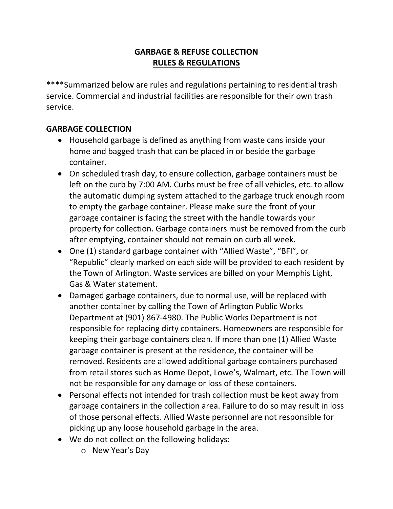## **GARBAGE & REFUSE COLLECTION RULES & REGULATIONS**

\*\*\*\*Summarized below are rules and regulations pertaining to residential trash service. Commercial and industrial facilities are responsible for their own trash service.

#### **GARBAGE COLLECTION**

- Household garbage is defined as anything from waste cans inside your home and bagged trash that can be placed in or beside the garbage container.
- On scheduled trash day, to ensure collection, garbage containers must be left on the curb by 7:00 AM. Curbs must be free of all vehicles, etc. to allow the automatic dumping system attached to the garbage truck enough room to empty the garbage container. Please make sure the front of your garbage container is facing the street with the handle towards your property for collection. Garbage containers must be removed from the curb after emptying, container should not remain on curb all week.
- One (1) standard garbage container with "Allied Waste", "BFI", or "Republic" clearly marked on each side will be provided to each resident by the Town of Arlington. Waste services are billed on your Memphis Light, Gas & Water statement.
- Damaged garbage containers, due to normal use, will be replaced with another container by calling the Town of Arlington Public Works Department at (901) 867-4980. The Public Works Department is not responsible for replacing dirty containers. Homeowners are responsible for keeping their garbage containers clean. If more than one (1) Allied Waste garbage container is present at the residence, the container will be removed. Residents are allowed additional garbage containers purchased from retail stores such as Home Depot, Lowe's, Walmart, etc. The Town will not be responsible for any damage or loss of these containers.
- Personal effects not intended for trash collection must be kept away from garbage containers in the collection area. Failure to do so may result in loss of those personal effects. Allied Waste personnel are not responsible for picking up any loose household garbage in the area.
- We do not collect on the following holidays:
	- o New Year's Day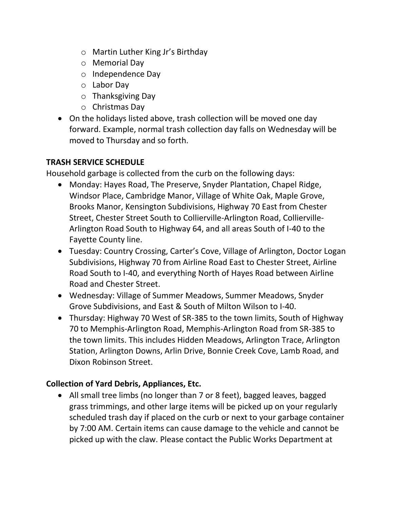- o Martin Luther King Jr's Birthday
- o Memorial Day
- o Independence Day
- o Labor Day
- o Thanksgiving Day
- o Christmas Day
- On the holidays listed above, trash collection will be moved one day forward. Example, normal trash collection day falls on Wednesday will be moved to Thursday and so forth.

# **TRASH SERVICE SCHEDULE**

Household garbage is collected from the curb on the following days:

- Monday: Hayes Road, The Preserve, Snyder Plantation, Chapel Ridge, Windsor Place, Cambridge Manor, Village of White Oak, Maple Grove, Brooks Manor, Kensington Subdivisions, Highway 70 East from Chester Street, Chester Street South to Collierville-Arlington Road, Collierville-Arlington Road South to Highway 64, and all areas South of I-40 to the Fayette County line.
- Tuesday: Country Crossing, Carter's Cove, Village of Arlington, Doctor Logan Subdivisions, Highway 70 from Airline Road East to Chester Street, Airline Road South to I-40, and everything North of Hayes Road between Airline Road and Chester Street.
- Wednesday: Village of Summer Meadows, Summer Meadows, Snyder Grove Subdivisions, and East & South of Milton Wilson to I-40.
- Thursday: Highway 70 West of SR-385 to the town limits, South of Highway 70 to Memphis-Arlington Road, Memphis-Arlington Road from SR-385 to the town limits. This includes Hidden Meadows, Arlington Trace, Arlington Station, Arlington Downs, Arlin Drive, Bonnie Creek Cove, Lamb Road, and Dixon Robinson Street.

# **Collection of Yard Debris, Appliances, Etc.**

 All small tree limbs (no longer than 7 or 8 feet), bagged leaves, bagged grass trimmings, and other large items will be picked up on your regularly scheduled trash day if placed on the curb or next to your garbage container by 7:00 AM. Certain items can cause damage to the vehicle and cannot be picked up with the claw. Please contact the Public Works Department at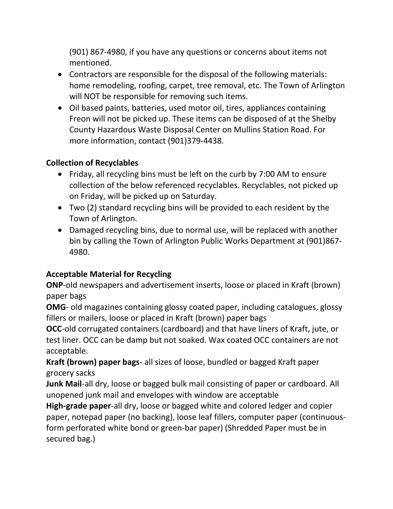(901) 867-4980, if you have any questions or concerns about items not mentioned.

- Contractors are responsible for the disposal of the following materials: home remodeling, roofing, carpet, tree removal, etc. The Town of Arlington will NOT be responsible for removing such items.
- Oil based paints, batteries, used motor oil, tires, appliances containing Freon will not be picked up. These items can be disposed of at the Shelby County Hazardous Waste Disposal Center on Mullins Station Road. For more information, contact (901)379-4438.

### **Collection of Recyclables**

- Friday, all recycling bins must be left on the curb by 7:00 AM to ensure collection of the below referenced recyclables. Recyclables, not picked up on Friday, will be picked up on Saturday.
- Two (2) standard recycling bins will be provided to each resident by the Town of Arlington.
- Damaged recycling bins, due to normal use, will be replaced with another bin by calling the Town of Arlington Public Works Department at (901)867- 4980.

### **Acceptable Material for Recycling**

**ONP**-old newspapers and advertisement inserts, loose or placed in Kraft (brown) paper bags

**OMG**- old magazines containing glossy coated paper, including catalogues, glossy fillers or mailers, loose or placed in Kraft (brown) paper bags

**OCC**-old corrugated containers (cardboard) and that have liners of Kraft, jute, or test liner. OCC can be damp but not soaked. Wax coated OCC containers are not acceptable.

**Kraft (brown) paper bags**- all sizes of loose, bundled or bagged Kraft paper grocery sacks

**Junk Mail**-all dry, loose or bagged bulk mail consisting of paper or cardboard. All unopened junk mail and envelopes with window are acceptable

**High-grade paper**-all dry, loose or bagged white and colored ledger and copier paper, notepad paper (no backing), loose leaf fillers, computer paper (continuousform perforated white bond or green-bar paper) (Shredded Paper must be in secured bag.)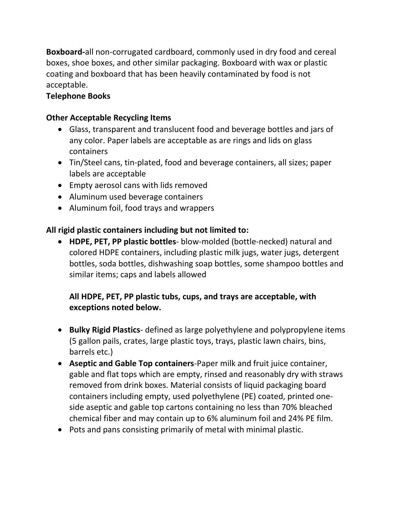**Boxboard-**all non-corrugated cardboard, commonly used in dry food and cereal boxes, shoe boxes, and other similar packaging. Boxboard with wax or plastic coating and boxboard that has been heavily contaminated by food is not acceptable.

### **Telephone Books**

#### **Other Acceptable Recycling Items**

- Glass, transparent and translucent food and beverage bottles and jars of any color. Paper labels are acceptable as are rings and lids on glass containers
- Tin/Steel cans, tin-plated, food and beverage containers, all sizes; paper labels are acceptable
- Empty aerosol cans with lids removed
- Aluminum used beverage containers
- Aluminum foil, food trays and wrappers

### **All rigid plastic containers including but not limited to:**

 **HDPE, PET, PP plastic bottles**- blow-molded (bottle-necked) natural and colored HDPE containers, including plastic milk jugs, water jugs, detergent bottles, soda bottles, dishwashing soap bottles, some shampoo bottles and similar items; caps and labels allowed

## **All HDPE, PET, PP plastic tubs, cups, and trays are acceptable, with exceptions noted below.**

- **Bulky Rigid Plastics** defined as large polyethylene and polypropylene items (5 gallon pails, crates, large plastic toys, trays, plastic lawn chairs, bins, barrels etc.)
- **Aseptic and Gable Top containers**-Paper milk and fruit juice container, gable and flat tops which are empty, rinsed and reasonably dry with straws removed from drink boxes. Material consists of liquid packaging board containers including empty, used polyethylene (PE) coated, printed oneside aseptic and gable top cartons containing no less than 70% bleached chemical fiber and may contain up to 6% aluminum foil and 24% PE film.
- Pots and pans consisting primarily of metal with minimal plastic.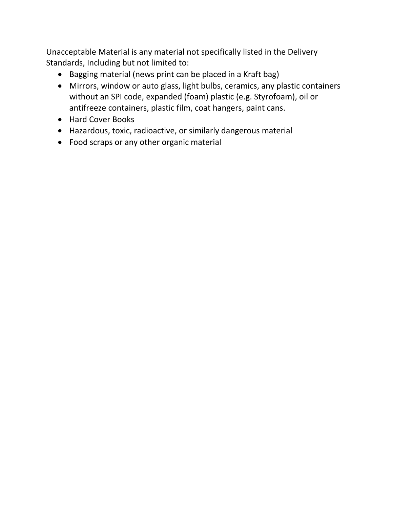Unacceptable Material is any material not specifically listed in the Delivery Standards, Including but not limited to:

- Bagging material (news print can be placed in a Kraft bag)
- Mirrors, window or auto glass, light bulbs, ceramics, any plastic containers without an SPI code, expanded (foam) plastic (e.g. Styrofoam), oil or antifreeze containers, plastic film, coat hangers, paint cans.
- Hard Cover Books
- Hazardous, toxic, radioactive, or similarly dangerous material
- Food scraps or any other organic material